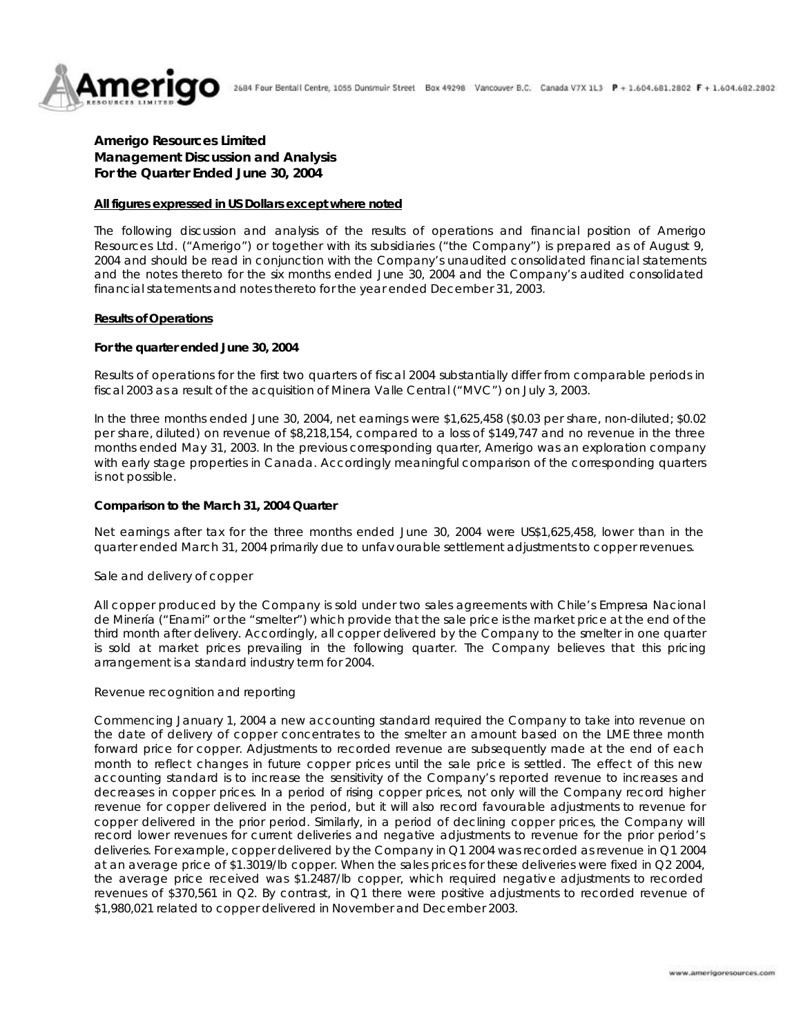

# **Amerigo Resources Limited Management Discussion and Analysis For the Quarter Ended June 30, 2004**

#### **All figures expressed in US Dollars except where noted**

The following discussion and analysis of the results of operations and financial position of Amerigo Resources Ltd. ("Amerigo") or together with its subsidiaries ("the Company") is prepared as of August 9, 2004 and should be read in conjunction with the Company's unaudited consolidated financial statements and the notes thereto for the six months ended June 30, 2004 and the Company's audited consolidated financial statements and notes thereto for the year ended December 31, 2003.

#### **Results of Operations**

#### **For the quarter ended June 30, 2004**

Results of operations for the first two quarters of fiscal 2004 substantially differ from comparable periods in fiscal 2003 as a result of the acquisition of Minera Valle Central ("MVC") on July 3, 2003.

In the three months ended June 30, 2004, net earnings were \$1,625,458 (\$0.03 per share, non-diluted; \$0.02 per share, diluted) on revenue of \$8,218,154, compared to a loss of \$149,747 and no revenue in the three months ended May 31, 2003. In the previous corresponding quarter, Amerigo was an exploration company with early stage properties in Canada. Accordingly meaningful comparison of the corresponding quarters is not possible.

#### **Comparison to the March 31, 2004 Quarter**

Net earnings after tax for the three months ended June 30, 2004 were US\$1,625,458, lower than in the quarter ended March 31, 2004 primarily due to unfav ourable settlement adjustments to copper revenues.

### *Sale and delivery of copper*

All copper produced by the Company is sold under two sales agreements with Chile's Empresa Nacional de Minería ("Enami" or the "smelter") which provide that the sale price is the market price at the end of the third month after delivery. Accordingly, all copper delivered by the Company to the smelter in one quarter is sold at market prices prevailing in the following quarter. The Company believes that this pricing arrangement is a standard industry term for 2004.

#### *Revenue recognition and reporting*

Commencing January 1, 2004 a new accounting standard required the Company to take into revenue on the date of delivery of copper concentrates to the smelter an amount based on the LME three month forward price for copper. Adjustments to recorded revenue are subsequently made at the end of each month to reflect changes in future copper prices until the sale price is settled. The effect of this new accounting standard is to increase the sensitivity of the Company's reported revenue to increases and decreases in copper prices. In a period of rising copper prices, not only will the Company record higher revenue for copper delivered in the period, but it will also record favourable adjustments to revenue for copper delivered in the prior period. Similarly, in a period of declining copper prices, the Company will record lower revenues for current deliveries and negative adjustments to revenue for the prior period's deliveries. For example, copper delivered by the Company in Q1 2004 was recorded as revenue in Q1 2004 at an average price of \$1.3019/lb copper. When the sales prices for these deliveries were fixed in Q2 2004, the average price received was \$1.2487/lb copper, which required negativ e adjustments to recorded revenues of \$370,561 in Q2. By contrast, in Q1 there were positive adjustments to recorded revenue of \$1,980,021 related to copper delivered in November and December 2003.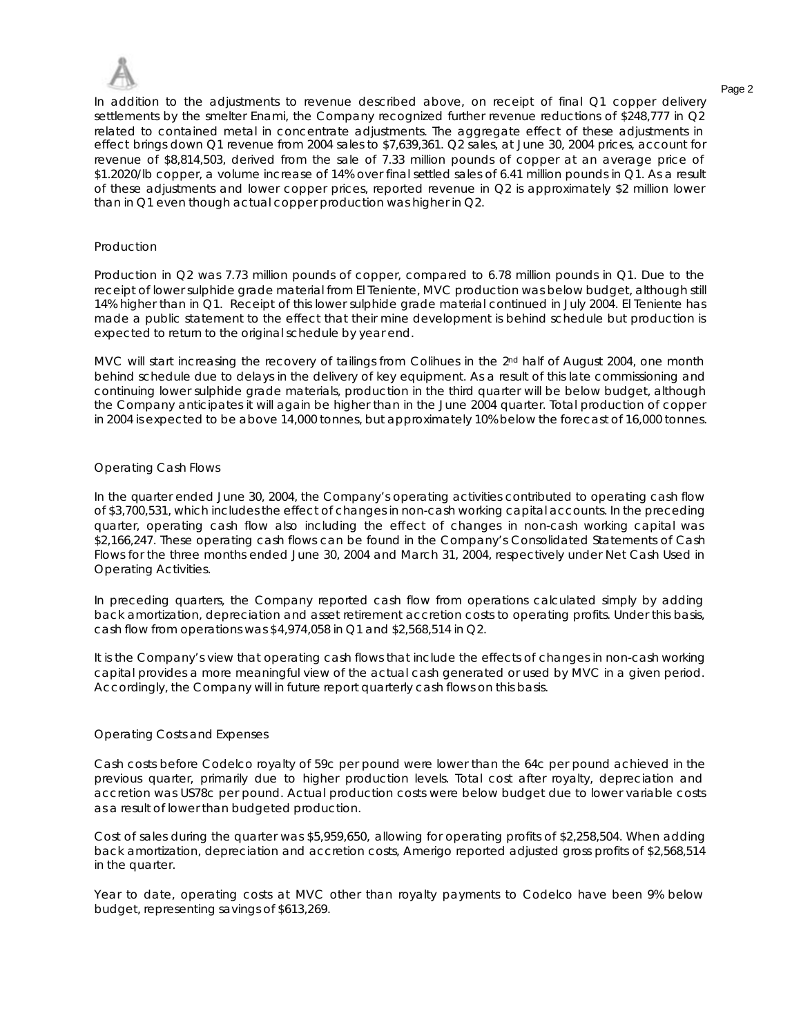

In addition to the adjustments to revenue described above, on receipt of final Q1 copper delivery settlements by the smelter Enami, the Company recognized further revenue reductions of \$248,777 in Q2 related to contained metal in concentrate adjustments. The aggregate effect of these adjustments in effect brings down Q1 revenue from 2004 sales to \$7,639,361. Q2 sales, at June 30, 2004 prices, account for revenue of \$8,814,503, derived from the sale of 7.33 million pounds of copper at an average price of \$1.2020/lb copper, a volume increase of 14% over final settled sales of 6.41 million pounds in Q1. As a result of these adjustments and lower copper prices, reported revenue in Q2 is approximately \$2 million lower than in Q1 even though actual copper production was higher in Q2.

## *Production*

Production in Q2 was 7.73 million pounds of copper, compared to 6.78 million pounds in Q1. Due to the receipt of lower sulphide grade material from El Teniente, MVC production was below budget, although still 14% higher than in Q1. Receipt of this lower sulphide grade material continued in July 2004. El Teniente has made a public statement to the effect that their mine development is behind schedule but production is expected to return to the original schedule by year end.

MVC will start increasing the recovery of tailings from Colihues in the 2<sup>nd</sup> half of August 2004, one month behind schedule due to delays in the delivery of key equipment. As a result of this late commissioning and continuing lower sulphide grade materials, production in the third quarter will be below budget, although the Company anticipates it will again be higher than in the June 2004 quarter. Total production of copper in 2004 is expected to be above 14,000 tonnes, but approximately 10% below the forecast of 16,000 tonnes.

# *Operating Cash Flows*

In the quarter ended June 30, 2004, the Company's operating activities contributed to operating cash flow of \$3,700,531, which includes the effect of changes in non-cash working capital accounts. In the preceding quarter, operating cash flow also including the effect of changes in non-cash working capital was \$2,166,247. These operating cash flows can be found in the Company's Consolidated Statements of Cash Flows for the three months ended June 30, 2004 and March 31, 2004, respectively under Net Cash Used in Operating Activities.

In preceding quarters, the Company reported cash flow from operations calculated simply by adding back amortization, depreciation and asset retirement accretion costs to operating profits. Under this basis, cash flow from operations was \$4,974,058 in Q1 and \$2,568,514 in Q2.

It is the Company's view that operating cash flows that include the effects of changes in non-cash working capital provides a more meaningful view of the actual cash generated or used by MVC in a given period. Accordingly, the Company will in future report quarterly cash flows on this basis.

### *Operating Costs and Expenses*

Cash costs before Codelco royalty of 59c per pound were lower than the 64c per pound achieved in the previous quarter, primarily due to higher production levels. Total cost after royalty, depreciation and accretion was US78c per pound. Actual production costs were below budget due to lower variable costs as a result of lower than budgeted production.

Cost of sales during the quarter was \$5,959,650, allowing for operating profits of \$2,258,504. When adding back amortization, depreciation and accretion costs, Amerigo reported adjusted gross profits of \$2,568,514 in the quarter.

Year to date, operating costs at MVC other than royalty payments to Codelco have been 9% below budget, representing savings of \$613,269.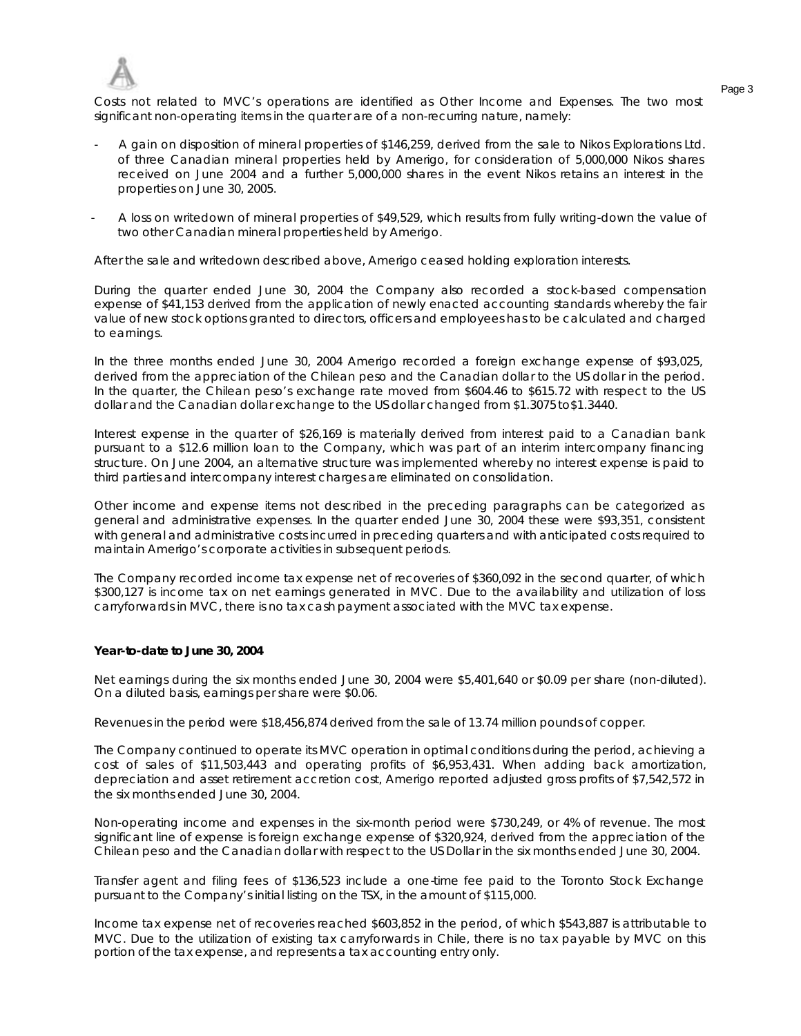

Page 3 Costs not related to MVC's operations are identified as Other Income and Expenses. The two most significant non-operating items in the quarter are of a non-recurring nature, namely:

- A gain on disposition of mineral properties of \$146,259, derived from the sale to Nikos Explorations Ltd. of three Canadian mineral properties held by Amerigo, for consideration of 5,000,000 Nikos shares received on June 2004 and a further 5,000,000 shares in the event Nikos retains an interest in the properties on June 30, 2005.
- A loss on writedown of mineral properties of \$49,529, which results from fully writing-down the value of two other Canadian mineral properties held by Amerigo.

After the sale and writedown described above, Amerigo ceased holding exploration interests.

During the quarter ended June 30, 2004 the Company also recorded a stock-based compensation expense of \$41,153 derived from the application of newly enacted accounting standards whereby the fair value of new stock options granted to directors, officers and employees has to be calculated and charged to earnings.

In the three months ended June 30, 2004 Amerigo recorded a foreign exchange expense of \$93,025, derived from the appreciation of the Chilean peso and the Canadian dollar to the US dollar in the period. In the quarter, the Chilean peso's exchange rate moved from \$604.46 to \$615.72 with respect to the US dollar and the Canadian dollar exchange to the US dollar changed from \$1.3075 to\$1.3440.

Interest expense in the quarter of \$26,169 is materially derived from interest paid to a Canadian bank pursuant to a \$12.6 million loan to the Company, which was part of an interim intercompany financing structure. On June 2004, an alternative structure was implemented whereby no interest expense is paid to third parties and intercompany interest charges are eliminated on consolidation.

Other income and expense items not described in the preceding paragraphs can be categorized as general and administrative expenses. In the quarter ended June 30, 2004 these were \$93,351, consistent with general and administrative costs incurred in preceding quarters and with anticipated costs required to maintain Amerigo's corporate activities in subsequent periods.

The Company recorded income tax expense net of recoveries of \$360,092 in the second quarter, of which \$300,127 is income tax on net earnings generated in MVC. Due to the availability and utilization of loss carryforwards in MVC, there is no tax cash payment associated with the MVC tax expense.

### **Year-to-date to June 30, 2004**

Net earnings during the six months ended June 30, 2004 were \$5,401,640 or \$0.09 per share (non-diluted). On a diluted basis, earnings per share were \$0.06.

Revenues in the period were \$18,456,874 derived from the sale of 13.74 million pounds of copper.

The Company continued to operate its MVC operation in optimal conditions during the period, achieving a cost of sales of \$11,503,443 and operating profits of \$6,953,431. When adding back amortization, depreciation and asset retirement accretion cost, Amerigo reported adjusted gross profits of \$7,542,572 in the six months ended June 30, 2004.

Non-operating income and expenses in the six-month period were \$730,249, or 4% of revenue. The most significant line of expense is foreign exchange expense of \$320,924, derived from the appreciation of the Chilean peso and the Canadian dollar with respect to the US Dollar in the six months ended June 30, 2004.

Transfer agent and filing fees of \$136,523 include a one-time fee paid to the Toronto Stock Exchange pursuant to the Company's initial listing on the TSX, in the amount of \$115,000.

Income tax expense net of recoveries reached \$603,852 in the period, of which \$543,887 is attributable to MVC. Due to the utilization of existing tax carryforwards in Chile, there is no tax payable by MVC on this portion of the tax expense, and represents a tax accounting entry only.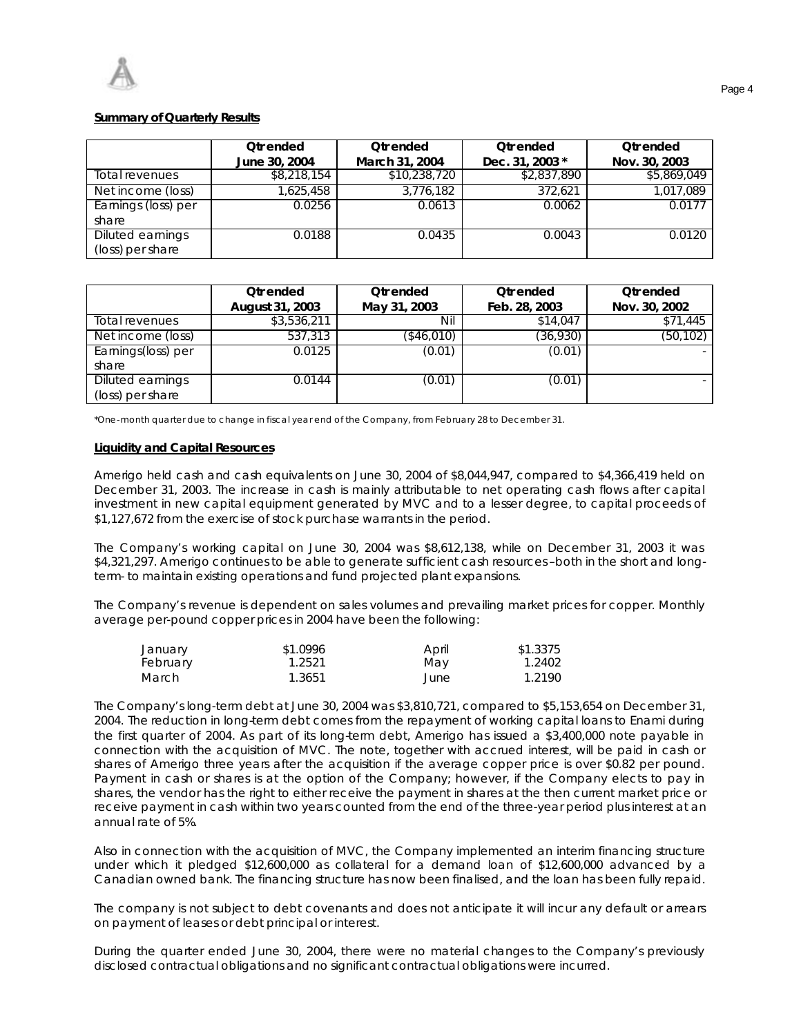# **Summary of Quarterly Results**

|                     | <b>Otrended</b><br>June 30, 2004 | <b>Otrended</b><br>March 31, 2004 | <b>Otrended</b><br>Dec. 31, 2003 * | <b>Otrended</b><br>Nov. 30, 2003 |
|---------------------|----------------------------------|-----------------------------------|------------------------------------|----------------------------------|
| Total revenues      | \$8,218,154                      | \$10,238,720                      | \$2,837,890                        | \$5,869,049                      |
| Net income (loss)   | 1,625,458                        | 3,776,182                         | 372.621                            | 1,017,089                        |
| Earnings (loss) per | 0.0256                           | 0.0613                            | 0.0062                             | 0.0177                           |
| share               |                                  |                                   |                                    |                                  |
| Diluted earnings    | 0.0188                           | 0.0435                            | 0.0043                             | 0.0120                           |
| (loss) per share    |                                  |                                   |                                    |                                  |

|                    | <b>Qtr</b> ended | Otr ended    | <b>Qtr</b> ended | <b>Qtr</b> ended |
|--------------------|------------------|--------------|------------------|------------------|
|                    | August 31, 2003  | May 31, 2003 | Feb. 28, 2003    | Nov. 30, 2002    |
| Total revenues     | \$3,536,211      | Nil          | \$14,047         | \$71,445         |
| Net income (loss)  | 537,313          | (\$46,010)   | (36,930)         | (50, 102)        |
| Earnings(loss) per | 0.0125           | (0.01)       | (0.01)           |                  |
| share              |                  |              |                  |                  |
| Diluted earnings   | 0.0144           | (0.01)       | (0.01)           | ۰.               |
| (loss) per share   |                  |              |                  |                  |

\*One-month quarter due to change in fiscal year end of the Company, from February 28 to December 31.

### **Liquidity and Capital Resources**

Amerigo held cash and cash equivalents on June 30, 2004 of \$8,044,947, compared to \$4,366,419 held on December 31, 2003. The increase in cash is mainly attributable to net operating cash flows after capital investment in new capital equipment generated by MVC and to a lesser degree, to capital proceeds of \$1,127,672 from the exercise of stock purchase warrants in the period.

The Company's working capital on June 30, 2004 was \$8,612,138, while on December 31, 2003 it was \$4,321,297. Amerigo continues to be able to generate sufficient cash resources –both in the short and longterm- to maintain existing operations and fund projected plant expansions.

The Company's revenue is dependent on sales volumes and prevailing market prices for copper. Monthly average per-pound copper prices in 2004 have been the following:

| January  | \$1.0996 | April | \$1.3375 |
|----------|----------|-------|----------|
| February | 1.2521   | May   | 1.2402   |
| March    | 1.3651   | June  | 1.2190   |

The Company's long-term debt at June 30, 2004 was \$3,810,721, compared to \$5,153,654 on December 31, 2004. The reduction in long-term debt comes from the repayment of working capital loans to Enami during the first quarter of 2004. As part of its long-term debt, Amerigo has issued a \$3,400,000 note payable in connection with the acquisition of MVC. The note, together with accrued interest, will be paid in cash or shares of Amerigo three years after the acquisition if the average copper price is over \$0.82 per pound. Payment in cash or shares is at the option of the Company; however, if the Company elects to pay in shares, the vendor has the right to either receive the payment in shares at the then current market price or receive payment in cash within two years counted from the end of the three-year period plus interest at an annual rate of 5%.

Also in connection with the acquisition of MVC, the Company implemented an interim financing structure under which it pledged \$12,600,000 as collateral for a demand loan of \$12,600,000 advanced by a Canadian owned bank. The financing structure has now been finalised, and the loan has been fully repaid.

The company is not subject to debt covenants and does not anticipate it will incur any default or arrears on payment of leases or debt principal or interest.

During the quarter ended June 30, 2004, there were no material changes to the Company's previously disclosed contractual obligations and no significant contractual obligations were incurred.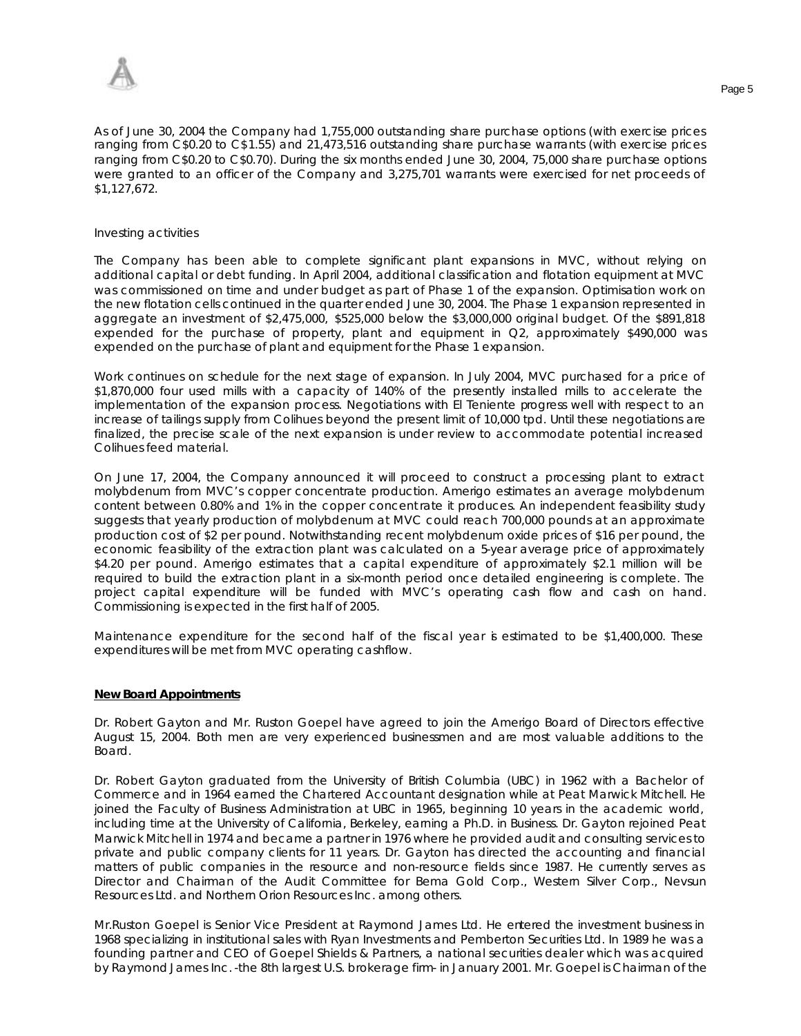

As of June 30, 2004 the Company had 1,755,000 outstanding share purchase options (with exercise prices ranging from C\$0.20 to C\$1.55) and 21,473,516 outstanding share purchase warrants (with exercise prices ranging from C\$0.20 to C\$0.70). During the six months ended June 30, 2004, 75,000 share purchase options were granted to an officer of the Company and 3,275,701 warrants were exercised for net proceeds of \$1,127,672.

#### *Investing activities*

The Company has been able to complete significant plant expansions in MVC, without relying on additional capital or debt funding. In April 2004, additional classification and flotation equipment at MVC was commissioned on time and under budget as part of Phase 1 of the expansion. Optimisation work on the new flotation cells continued in the quarter ended June 30, 2004. The Phase 1 expansion represented in aggregate an investment of \$2,475,000, \$525,000 below the \$3,000,000 original budget. Of the \$891,818 expended for the purchase of property, plant and equipment in Q2, approximately \$490,000 was expended on the purchase of plant and equipment for the Phase 1 expansion.

Work continues on schedule for the next stage of expansion. In July 2004, MVC purchased for a price of \$1,870,000 four used mills with a capacity of 140% of the presently installed mills to accelerate the implementation of the expansion process. Negotiations with El Teniente progress well with respect to an increase of tailings supply from Colihues beyond the present limit of 10,000 tpd. Until these negotiations are finalized, the precise scale of the next expansion is under review to accommodate potential increased Colihues feed material.

On June 17, 2004, the Company announced it will proceed to construct a processing plant to extract molybdenum from MVC's copper concentrate production. Amerigo estimates an average molybdenum content between 0.80% and 1% in the copper concentrate it produces. An independent feasibility study suggests that yearly production of molybdenum at MVC could reach 700,000 pounds at an approximate production cost of \$2 per pound. Notwithstanding recent molybdenum oxide prices of \$16 per pound, the economic feasibility of the extraction plant was calculated on a 5-year average price of approximately \$4.20 per pound. Amerigo estimates that a capital expenditure of approximately \$2.1 million will be required to build the extraction plant in a six-month period once detailed engineering is complete. The project capital expenditure will be funded with MVC's operating cash flow and cash on hand. Commissioning is expected in the first half of 2005.

Maintenance expenditure for the second half of the fiscal year is estimated to be \$1,400,000. These expenditures will be met from MVC operating cashflow.

### **New Board Appointments**

Dr. Robert Gayton and Mr. Ruston Goepel have agreed to join the Amerigo Board of Directors effective August 15, 2004. Both men are very experienced businessmen and are most valuable additions to the Board.

Dr. Robert Gayton graduated from the University of British Columbia (UBC) in 1962 with a Bachelor of Commerce and in 1964 earned the Chartered Accountant designation while at Peat Marwick Mitchell. He joined the Faculty of Business Administration at UBC in 1965, beginning 10 years in the academic world, including time at the University of California, Berkeley, earning a Ph.D. in Business. Dr. Gayton rejoined Peat Marwick Mitchell in 1974 and became a partner in 1976 where he provided audit and consulting services to private and public company clients for 11 years. Dr. Gayton has directed the accounting and financial matters of public companies in the resource and non-resource fields since 1987. He currently serves as Director and Chairman of the Audit Committee for Bema Gold Corp., Western Silver Corp., Nevsun Resources Ltd. and Northern Orion Resources Inc. among others.

Mr.Ruston Goepel is Senior Vice President at Raymond James Ltd. He entered the investment business in 1968 specializing in institutional sales with Ryan Investments and Pemberton Securities Ltd. In 1989 he was a founding partner and CEO of Goepel Shields & Partners, a national securities dealer which was acquired by Raymond James Inc. -the 8th largest U.S. brokerage firm- in January 2001. Mr. Goepel is Chairman of the